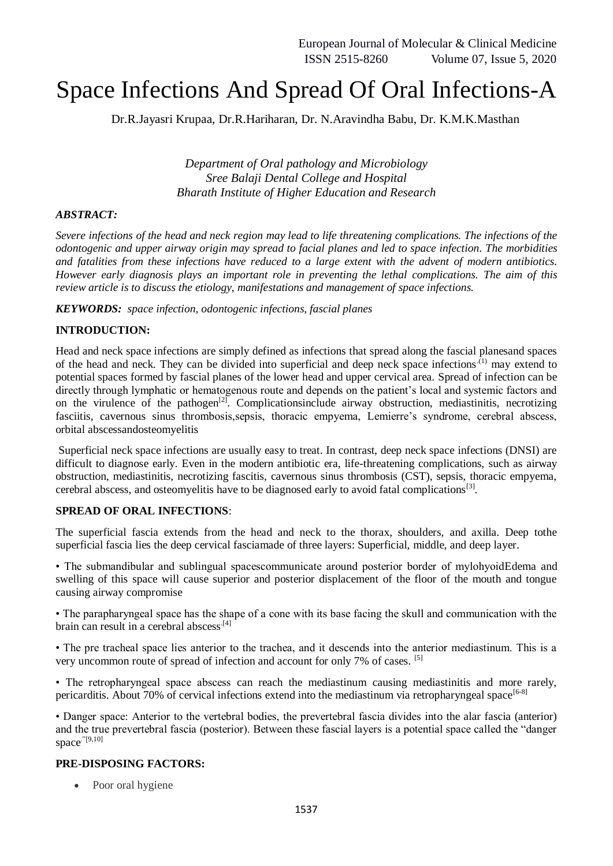# Space Infections And Spread Of Oral Infections-A

Dr.R.Jayasri Krupaa, Dr.R.Hariharan, Dr. N.Aravindha Babu, Dr. K.M.K.Masthan

*Department of Oral pathology and Microbiology Sree Balaji Dental College and Hospital Bharath Institute of Higher Education and Research*

#### *ABSTRACT:*

*Severe infections of the head and neck region may lead to life threatening complications. The infections of the odontogenic and upper airway origin may spread to facial planes and led to space infection. The morbidities and fatalities from these infections have reduced to a large extent with the advent of modern antibiotics. However early diagnosis plays an important role in preventing the lethal complications. The aim of this review article is to discuss the etiology, manifestations and management of space infections.*

*KEYWORDS: space infection, odontogenic infections, fascial planes*

# **INTRODUCTION:**

Head and neck space infections are simply defined as infections that spread along the fascial planesand spaces of the head and neck. They can be divided into superficial and deep neck space infections<sup>(1)</sup> may extend to potential spaces formed by fascial planes of the lower head and upper cervical area. Spread of infection can be directly through lymphatic or hematogenous route and depends on the patient's local and systemic factors and on the virulence of the pathogen<sup>[2]</sup>. Complicationsinclude airway obstruction, mediastinitis, necrotizing fasciitis, cavernous sinus thrombosis,sepsis, thoracic empyema, Lemierre's syndrome, cerebral abscess, orbital abscessandosteomyelitis

Superficial neck space infections are usually easy to treat. In contrast, deep neck space infections (DNSI) are difficult to diagnose early. Even in the modern antibiotic era, life-threatening complications, such as airway obstruction, mediastinitis, necrotizing fascitis, cavernous sinus thrombosis (CST), sepsis, thoracic empyema, cerebral abscess, and osteomyelitis have to be diagnosed early to avoid fatal complications<sup>[3]</sup>.

#### **SPREAD OF ORAL INFECTIONS**:

The superficial fascia extends from the head and neck to the thorax, shoulders, and axilla. Deep tothe superficial fascia lies the deep cervical fasciamade of three layers: Superficial, middle, and deep layer.

• The submandibular and sublingual spacescommunicate around posterior border of mylohyoidEdema and swelling of this space will cause superior and posterior displacement of the floor of the mouth and tongue causing airway compromise

• The parapharyngeal space has the shape of a cone with its base facing the skull and communication with the brain can result in a cerebral abscess<sup>[4]</sup>

• The pre tracheal space lies anterior to the trachea, and it descends into the anterior mediastinum. This is a very uncommon route of spread of infection and account for only 7% of cases. [5]

• The retropharyngeal space abscess can reach the mediastinum causing mediastinitis and more rarely, pericarditis. About 70% of cervical infections extend into the mediastinum via retropharyngeal space<sup>[6-8]</sup>

• Danger space: Anterior to the vertebral bodies, the prevertebral fascia divides into the alar fascia (anterior) and the true prevertebral fascia (posterior). Between these fascial layers is a potential space called the "danger space."[9,10]

#### **PRE-DISPOSING FACTORS:**

• Poor oral hygiene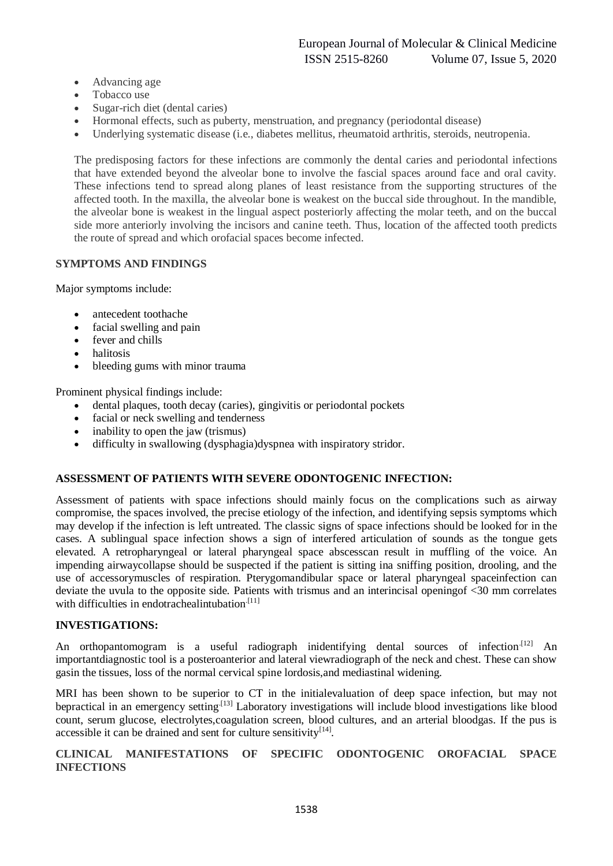- Advancing age
- Tobacco use
- Sugar-rich diet (dental caries)
- Hormonal effects, such as puberty, menstruation, and pregnancy (periodontal disease)
- Underlying systematic disease (i.e., diabetes mellitus, rheumatoid arthritis, steroids, neutropenia.

The predisposing factors for these infections are commonly the dental caries and periodontal infections that have extended beyond the alveolar bone to involve the fascial spaces around face and oral cavity. These infections tend to spread along planes of least resistance from the supporting structures of the affected tooth. In the maxilla, the alveolar bone is weakest on the buccal side throughout. In the mandible, the alveolar bone is weakest in the lingual aspect posteriorly affecting the molar teeth, and on the buccal side more anteriorly involving the incisors and canine teeth. Thus, location of the affected tooth predicts the route of spread and which orofacial spaces become infected.

# **SYMPTOMS AND FINDINGS**

Major symptoms include:

- antecedent toothache
- facial swelling and pain
- fever and chills
- halitosis
- bleeding gums with minor trauma

Prominent physical findings include:

- dental plaques, tooth decay (caries), gingivitis or periodontal pockets
- facial or neck swelling and tenderness
- inability to open the jaw (trismus)
- difficulty in swallowing (dysphagia)dyspnea with inspiratory stridor.

#### **ASSESSMENT OF PATIENTS WITH SEVERE ODONTOGENIC INFECTION:**

Assessment of patients with space infections should mainly focus on the complications such as airway compromise, the spaces involved, the precise etiology of the infection, and identifying sepsis symptoms which may develop if the infection is left untreated. The classic signs of space infections should be looked for in the cases. A sublingual space infection shows a sign of interfered articulation of sounds as the tongue gets elevated. A retropharyngeal or lateral pharyngeal space abscesscan result in muffling of the voice. An impending airwaycollapse should be suspected if the patient is sitting ina sniffing position, drooling, and the use of accessorymuscles of respiration. Pterygomandibular space or lateral pharyngeal spaceinfection can deviate the uvula to the opposite side. Patients with trismus and an interincisal openingof <30 mm correlates with difficulties in endotrachealintubation. $[11]$ 

#### **INVESTIGATIONS:**

An orthopantomogram is a useful radiograph inidentifying dental sources of infection.<sup>[12]</sup> An importantdiagnostic tool is a posteroanterior and lateral viewradiograph of the neck and chest. These can show gasin the tissues, loss of the normal cervical spine lordosis,and mediastinal widening.

MRI has been shown to be superior to CT in the initialevaluation of deep space infection, but may not bepractical in an emergency setting<sup>[13]</sup> Laboratory investigations will include blood investigations like blood count, serum glucose, electrolytes,coagulation screen, blood cultures, and an arterial bloodgas. If the pus is accessible it can be drained and sent for culture sensitivity $[14]$ .

### **CLINICAL MANIFESTATIONS OF SPECIFIC ODONTOGENIC OROFACIAL SPACE INFECTIONS**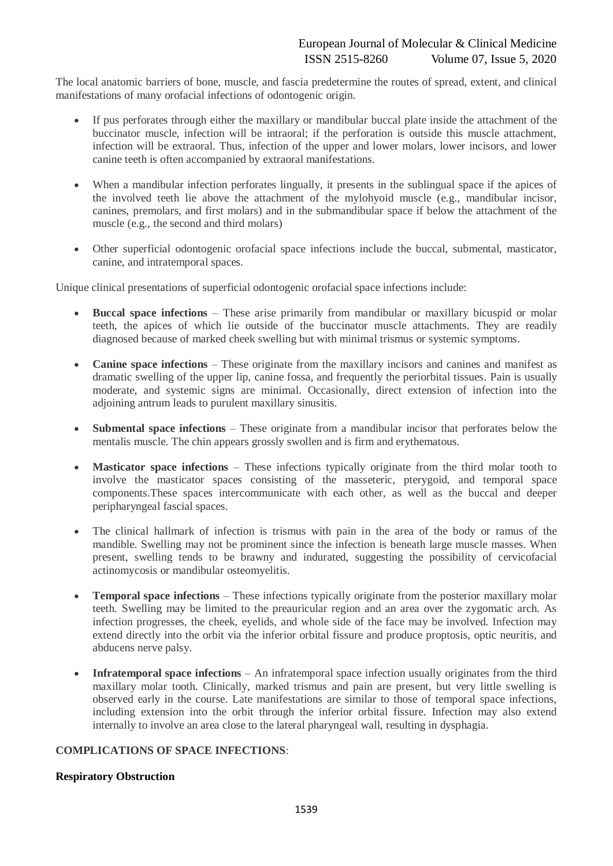The local anatomic barriers of bone, muscle, and fascia predetermine the routes of spread, extent, and clinical manifestations of many orofacial infections of odontogenic origin.

- If pus perforates through either the maxillary or mandibular buccal plate inside the attachment of the buccinator muscle, infection will be intraoral; if the perforation is outside this muscle attachment, infection will be extraoral. Thus, infection of the upper and lower molars, lower incisors, and lower canine teeth is often accompanied by extraoral manifestations.
- When a mandibular infection perforates lingually, it presents in the sublingual space if the apices of the involved teeth lie above the attachment of the mylohyoid muscle (e.g., mandibular incisor, canines, premolars, and first molars) and in the submandibular space if below the attachment of the muscle (e.g., the second and third molars)
- Other superficial odontogenic orofacial space infections include the buccal, submental, masticator, canine, and intratemporal spaces.

Unique clinical presentations of superficial odontogenic orofacial space infections include:

- **Buccal space infections** These arise primarily from mandibular or maxillary bicuspid or molar teeth, the apices of which lie outside of the buccinator muscle attachments. They are readily diagnosed because of marked cheek swelling but with minimal trismus or systemic symptoms.
- **Canine space infections** These originate from the maxillary incisors and canines and manifest as dramatic swelling of the upper lip, canine fossa, and frequently the periorbital tissues. Pain is usually moderate, and systemic signs are minimal. Occasionally, direct extension of infection into the adjoining antrum leads to purulent maxillary sinusitis.
- **Submental space infections** These originate from a mandibular incisor that perforates below the mentalis muscle. The chin appears grossly swollen and is firm and erythematous.
- **Masticator space infections** These infections typically originate from the third molar tooth to involve the masticator spaces consisting of the masseteric, pterygoid, and temporal space components.These spaces intercommunicate with each other, as well as the buccal and deeper peripharyngeal fascial spaces.
- The clinical hallmark of infection is trismus with pain in the area of the body or ramus of the mandible. Swelling may not be prominent since the infection is beneath large muscle masses. When present, swelling tends to be brawny and indurated, suggesting the possibility of cervicofacial actinomycosis or mandibular osteomyelitis.
- **Temporal space infections** These infections typically originate from the posterior maxillary molar teeth. Swelling may be limited to the preauricular region and an area over the zygomatic arch. As infection progresses, the cheek, eyelids, and whole side of the face may be involved. Infection may extend directly into the orbit via the inferior orbital fissure and produce proptosis, optic neuritis, and abducens nerve palsy.
- **Infratemporal space infections** An infratemporal space infection usually originates from the third maxillary molar tooth. Clinically, marked trismus and pain are present, but very little swelling is observed early in the course. Late manifestations are similar to those of temporal space infections, including extension into the orbit through the inferior orbital fissure. Infection may also extend internally to involve an area close to the lateral pharyngeal wall, resulting in dysphagia.

# **COMPLICATIONS OF SPACE INFECTIONS**:

#### **Respiratory Obstruction**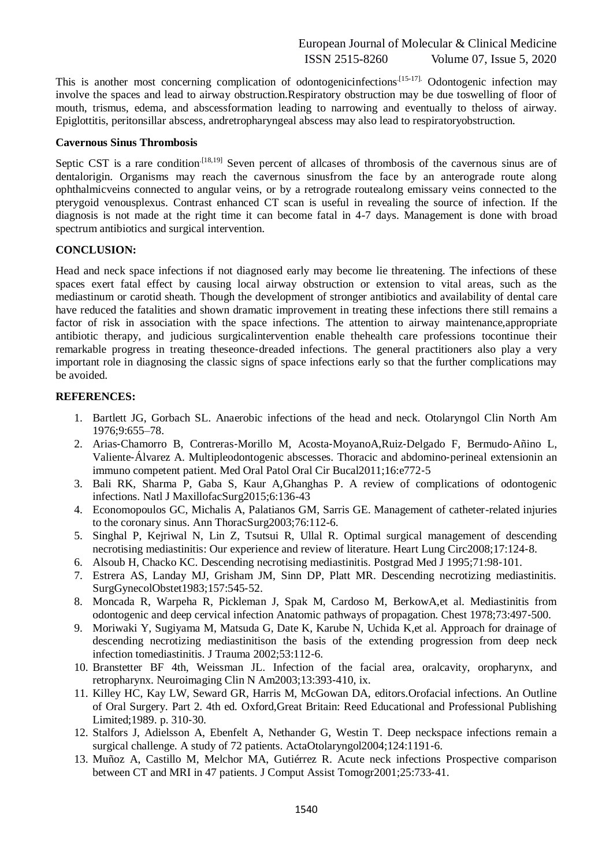This is another most concerning complication of odontogenicinfections.<sup>[15-17]</sup> Odontogenic infection may involve the spaces and lead to airway obstruction.Respiratory obstruction may be due toswelling of floor of mouth, trismus, edema, and abscessformation leading to narrowing and eventually to theloss of airway. Epiglottitis, peritonsillar abscess, andretropharyngeal abscess may also lead to respiratoryobstruction.

#### **Cavernous Sinus Thrombosis**

Septic CST is a rare condition<sup> $[18,19]$ </sup> Seven percent of allcases of thrombosis of the cavernous sinus are of dentalorigin. Organisms may reach the cavernous sinusfrom the face by an anterograde route along ophthalmicveins connected to angular veins, or by a retrograde routealong emissary veins connected to the pterygoid venousplexus. Contrast enhanced CT scan is useful in revealing the source of infection. If the diagnosis is not made at the right time it can become fatal in 4-7 days. Management is done with broad spectrum antibiotics and surgical intervention.

# **CONCLUSION:**

Head and neck space infections if not diagnosed early may become lie threatening. The infections of these spaces exert fatal effect by causing local airway obstruction or extension to vital areas, such as the mediastinum or carotid sheath. Though the development of stronger antibiotics and availability of dental care have reduced the fatalities and shown dramatic improvement in treating these infections there still remains a factor of risk in association with the space infections. The attention to airway maintenance,appropriate antibiotic therapy, and judicious surgicalintervention enable thehealth care professions tocontinue their remarkable progress in treating theseonce-dreaded infections. The general practitioners also play a very important role in diagnosing the classic signs of space infections early so that the further complications may be avoided.

# **REFERENCES:**

- 1. Bartlett JG, Gorbach SL. Anaerobic infections of the head and neck. Otolaryngol Clin North Am 1976;9:655–78.
- 2. Arias‑Chamorro B, Contreras‑Morillo M, Acosta‑MoyanoA,Ruiz‑Delgado F, Bermudo‑Añino L, Valiente‑Álvarez A. Multipleodontogenic abscesses. Thoracic and abdomino‑perineal extensionin an immuno competent patient. Med Oral Patol Oral Cir Bucal2011;16:e772‑5
- 3. Bali RK, Sharma P, Gaba S, Kaur A,Ghanghas P. A review of complications of odontogenic infections. Natl J MaxillofacSurg2015;6:136-43
- 4. Economopoulos GC, Michalis A, Palatianos GM, Sarris GE. Management of catheter-related injuries to the coronary sinus. Ann ThoracSurg2003;76:112-6.
- 5. Singhal P, Kejriwal N, Lin Z, Tsutsui R, Ullal R. Optimal surgical management of descending necrotising mediastinitis: Our experience and review of literature. Heart Lung Circ2008;17:124‑8.
- 6. Alsoub H, Chacko KC. Descending necrotising mediastinitis. Postgrad Med J 1995;71:98‑101.
- 7. Estrera AS, Landay MJ, Grisham JM, Sinn DP, Platt MR. Descending necrotizing mediastinitis. SurgGynecolObstet1983;157:545‑52.
- 8. Moncada R, Warpeha R, Pickleman J, Spak M, Cardoso M, BerkowA,et al. Mediastinitis from odontogenic and deep cervical infection Anatomic pathways of propagation. Chest 1978;73:497‑500.
- 9. Moriwaki Y, Sugiyama M, Matsuda G, Date K, Karube N, Uchida K,et al. Approach for drainage of descending necrotizing mediastinitison the basis of the extending progression from deep neck infection tomediastinitis. J Trauma 2002;53:112‑6.
- 10. Branstetter BF 4th, Weissman JL. Infection of the facial area, oralcavity, oropharynx, and retropharynx. Neuroimaging Clin N Am2003;13:393-410, ix.
- 11. Killey HC, Kay LW, Seward GR, Harris M, McGowan DA, editors.Orofacial infections. An Outline of Oral Surgery. Part 2. 4th ed. Oxford,Great Britain: Reed Educational and Professional Publishing Limited;1989. p. 310‑30.
- 12. Stalfors J, Adielsson A, Ebenfelt A, Nethander G, Westin T. Deep neckspace infections remain a surgical challenge. A study of 72 patients. ActaOtolaryngol2004;124:1191-6.
- 13. Muñoz A, Castillo M, Melchor MA, Gutiérrez R. Acute neck infections Prospective comparison between CT and MRI in 47 patients. J Comput Assist Tomogr2001;25:733‑41.